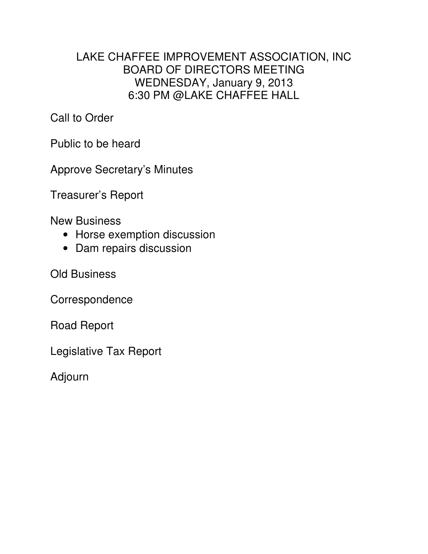## LAKE CHAFFEE IMPROVEMENT ASSOCIATION, INC BOARD OF DIRECTORS MEETING WEDNESDAY, January 9, 2013 6:30 PM @LAKE CHAFFEE HALL

Call to Order

Public to be heard

Approve Secretary's Minutes

Treasurer's Report

New Business

- Horse exemption discussion
- Dam repairs discussion

Old Business

Correspondence

Road Report

Legislative Tax Report

Adjourn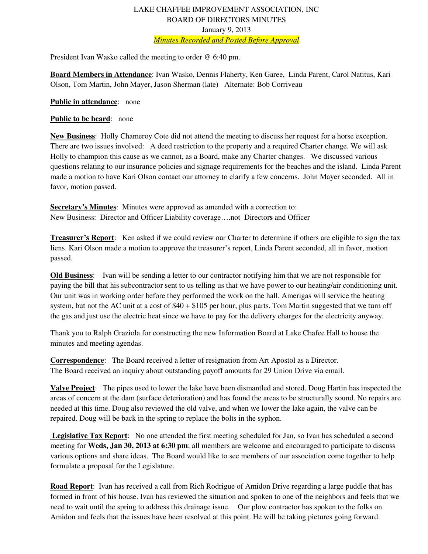## LAKE CHAFFEE IMPROVEMENT ASSOCIATION, INC BOARD OF DIRECTORS MINUTES January 9, 2013 *Minutes Recorded and Posted Before Approval*

President Ivan Wasko called the meeting to order @ 6:40 pm.

**Board Members in Attendance**: Ivan Wasko, Dennis Flaherty, Ken Garee, Linda Parent, Carol Natitus, Kari Olson, Tom Martin, John Mayer, Jason Sherman (late) Alternate: Bob Corriveau

**Public in attendance**: none

## **Public to be heard**: none

**New Business**: Holly Chameroy Cote did not attend the meeting to discuss her request for a horse exception. There are two issues involved: A deed restriction to the property and a required Charter change. We will ask Holly to champion this cause as we cannot, as a Board, make any Charter changes. We discussed various questions relating to our insurance policies and signage requirements for the beaches and the island. Linda Parent made a motion to have Kari Olson contact our attorney to clarify a few concerns. John Mayer seconded. All in favor, motion passed.

**Secretary's Minutes**: Minutes were approved as amended with a correction to: New Business: Director and Officer Liability coverage….not Director**s** and Officer

**Treasurer's Report**: Ken asked if we could review our Charter to determine if others are eligible to sign the tax liens. Kari Olson made a motion to approve the treasurer's report, Linda Parent seconded, all in favor, motion passed.

**Old Business**: Ivan will be sending a letter to our contractor notifying him that we are not responsible for paying the bill that his subcontractor sent to us telling us that we have power to our heating/air conditioning unit. Our unit was in working order before they performed the work on the hall. Amerigas will service the heating system, but not the AC unit at a cost of \$40 + \$105 per hour, plus parts. Tom Martin suggested that we turn off the gas and just use the electric heat since we have to pay for the delivery charges for the electricity anyway.

Thank you to Ralph Graziola for constructing the new Information Board at Lake Chafee Hall to house the minutes and meeting agendas.

**Correspondence**: The Board received a letter of resignation from Art Apostol as a Director. The Board received an inquiry about outstanding payoff amounts for 29 Union Drive via email.

**Valve Project**: The pipes used to lower the lake have been dismantled and stored. Doug Hartin has inspected the areas of concern at the dam (surface deterioration) and has found the areas to be structurally sound. No repairs are needed at this time. Doug also reviewed the old valve, and when we lower the lake again, the valve can be repaired. Doug will be back in the spring to replace the bolts in the syphon.

 **Legislative Tax Report**: No one attended the first meeting scheduled for Jan, so Ivan has scheduled a second meeting for **Weds, Jan 30, 2013 at 6:30 pm**; all members are welcome and encouraged to participate to discuss various options and share ideas. The Board would like to see members of our association come together to help formulate a proposal for the Legislature.

**Road Report**: Ivan has received a call from Rich Rodrigue of Amidon Drive regarding a large puddle that has formed in front of his house. Ivan has reviewed the situation and spoken to one of the neighbors and feels that we need to wait until the spring to address this drainage issue. Our plow contractor has spoken to the folks on Amidon and feels that the issues have been resolved at this point. He will be taking pictures going forward.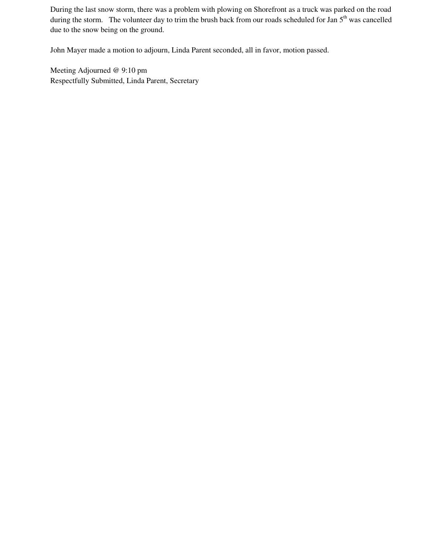During the last snow storm, there was a problem with plowing on Shorefront as a truck was parked on the road during the storm. The volunteer day to trim the brush back from our roads scheduled for Jan 5<sup>th</sup> was cancelled due to the snow being on the ground.

John Mayer made a motion to adjourn, Linda Parent seconded, all in favor, motion passed.

Meeting Adjourned @ 9:10 pm Respectfully Submitted, Linda Parent, Secretary